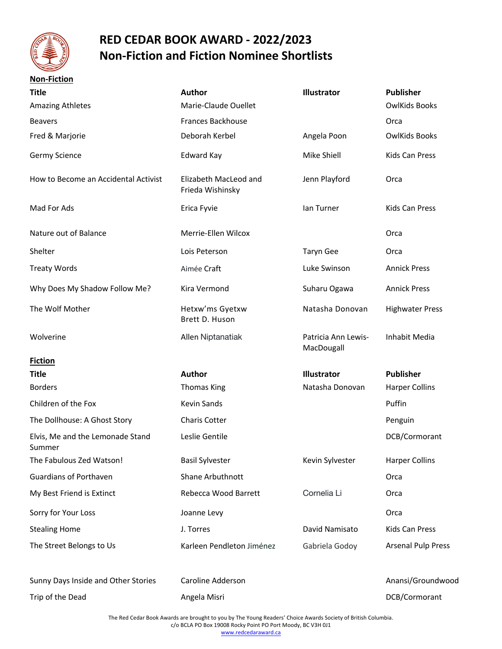

## **RED CEDAR BOOK AWARD - 2022/2023 Non-Fiction and Fiction Nominee Shortlists**

| <b>Non-Fiction</b>                         |                                           |                                   |                           |
|--------------------------------------------|-------------------------------------------|-----------------------------------|---------------------------|
| <b>Title</b>                               | <b>Author</b>                             | Illustrator                       | <b>Publisher</b>          |
| <b>Amazing Athletes</b>                    | Marie-Claude Ouellet                      |                                   | <b>OwlKids Books</b>      |
| <b>Beavers</b>                             | <b>Frances Backhouse</b>                  |                                   | Orca                      |
| Fred & Marjorie                            | Deborah Kerbel                            | Angela Poon                       | <b>OwlKids Books</b>      |
| Germy Science                              | <b>Edward Kay</b>                         | Mike Shiell                       | <b>Kids Can Press</b>     |
| How to Become an Accidental Activist       | Elizabeth MacLeod and<br>Frieda Wishinsky | Jenn Playford                     | Orca                      |
| Mad For Ads                                | Erica Fyvie                               | lan Turner                        | <b>Kids Can Press</b>     |
| Nature out of Balance                      | Merrie-Ellen Wilcox                       |                                   | Orca                      |
| Shelter                                    | Lois Peterson                             | <b>Taryn Gee</b>                  | Orca                      |
| <b>Treaty Words</b>                        | Aimée Craft                               | Luke Swinson                      | <b>Annick Press</b>       |
| Why Does My Shadow Follow Me?              | Kira Vermond                              | Suharu Ogawa                      | <b>Annick Press</b>       |
| The Wolf Mother                            | Hetxw'ms Gyetxw<br>Brett D. Huson         | Natasha Donovan                   | <b>Highwater Press</b>    |
| Wolverine                                  | Allen Niptanatiak                         | Patricia Ann Lewis-<br>MacDougall | Inhabit Media             |
| <b>Fiction</b>                             |                                           |                                   |                           |
| <b>Title</b>                               | Author                                    | Illustrator                       | <b>Publisher</b>          |
| <b>Borders</b>                             | Thomas King                               | Natasha Donovan                   | <b>Harper Collins</b>     |
| Children of the Fox                        | <b>Kevin Sands</b>                        |                                   | Puffin                    |
| The Dollhouse: A Ghost Story               | Charis Cotter                             |                                   | Penguin                   |
| Elvis, Me and the Lemonade Stand<br>Summer | Leslie Gentile                            |                                   | DCB/Cormorant             |
| The Fabulous Zed Watson!                   | <b>Basil Sylvester</b>                    | Kevin Sylvester                   | <b>Harper Collins</b>     |
| <b>Guardians of Porthaven</b>              | Shane Arbuthnott                          |                                   | Orca                      |
| My Best Friend is Extinct                  | Rebecca Wood Barrett                      | Cornelia Li                       | Orca                      |
| Sorry for Your Loss                        | Joanne Levy                               |                                   | Orca                      |
| <b>Stealing Home</b>                       | J. Torres                                 | David Namisato                    | Kids Can Press            |
| The Street Belongs to Us                   | Karleen Pendleton Jiménez                 | Gabriela Godoy                    | <b>Arsenal Pulp Press</b> |
| Sunny Days Inside and Other Stories        | Caroline Adderson                         |                                   | Anansi/Groundwood         |
| Trip of the Dead                           | Angela Misri                              |                                   | DCB/Cormorant             |